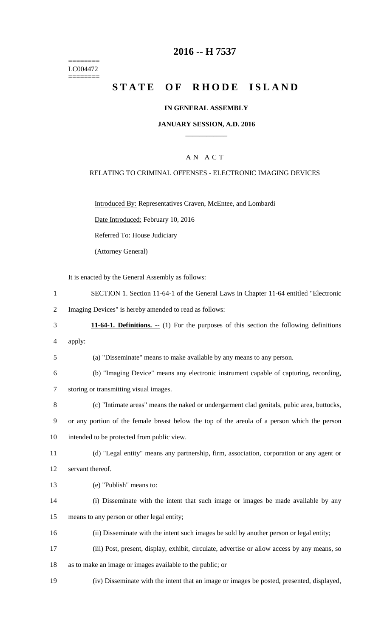======== LC004472 ========

# **2016 -- H 7537**

# STATE OF RHODE ISLAND

## **IN GENERAL ASSEMBLY**

#### **JANUARY SESSION, A.D. 2016 \_\_\_\_\_\_\_\_\_\_\_\_**

# A N A C T

## RELATING TO CRIMINAL OFFENSES - ELECTRONIC IMAGING DEVICES

Introduced By: Representatives Craven, McEntee, and Lombardi

Date Introduced: February 10, 2016

Referred To: House Judiciary

(Attorney General)

It is enacted by the General Assembly as follows:

- 1 SECTION 1. Section 11-64-1 of the General Laws in Chapter 11-64 entitled "Electronic
- 2 Imaging Devices" is hereby amended to read as follows:
- 3 **11-64-1. Definitions. --** (1) For the purposes of this section the following definitions
- 4 apply:

5 (a) "Disseminate" means to make available by any means to any person.

- 6 (b) "Imaging Device" means any electronic instrument capable of capturing, recording, 7 storing or transmitting visual images.
- 8 (c) "Intimate areas" means the naked or undergarment clad genitals, pubic area, buttocks,
- 9 or any portion of the female breast below the top of the areola of a person which the person

10 intended to be protected from public view.

11 (d) "Legal entity" means any partnership, firm, association, corporation or any agent or 12 servant thereof.

- 13 (e) "Publish" means to:
- 14 (i) Disseminate with the intent that such image or images be made available by any 15 means to any person or other legal entity;
- 16 (ii) Disseminate with the intent such images be sold by another person or legal entity;
- 17 (iii) Post, present, display, exhibit, circulate, advertise or allow access by any means, so
- 18 as to make an image or images available to the public; or
- 19 (iv) Disseminate with the intent that an image or images be posted, presented, displayed,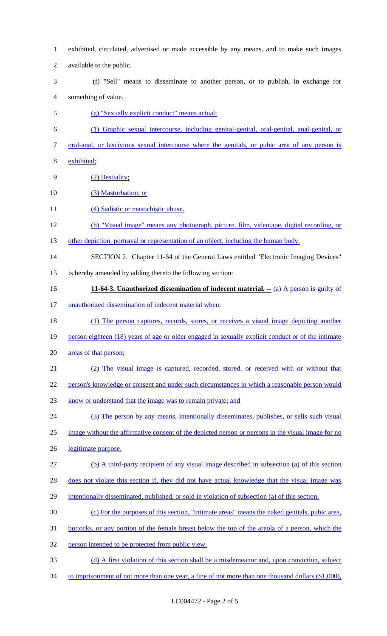- exhibited, circulated, advertised or made accessible by any means, and to make such images available to the public. (f) "Sell" means to disseminate to another person, or to publish, in exchange for something of value. (g) "Sexually explicit conduct" means actual: (1) Graphic sexual intercourse, including genital-genital, oral-genital, anal-genital, or oral-anal, or lascivious sexual intercourse where the genitals, or pubic area of any person is exhibited; (2) Bestiality; (3) Masturbation; or 11 (4) Sadistic or masochistic abuse. (h) "Visual image" means any photograph, picture, film, videotape, digital recording, or 13 other depiction, portrayal or representation of an object, including the human body. SECTION 2. Chapter 11-64 of the General Laws entitled "Electronic Imaging Devices" is hereby amended by adding thereto the following section: **11-64-3. Unauthorized dissemination of indecent material. --** (a) A person is guilty of unauthorized dissemination of indecent material when: (1) The person captures, records, stores, or receives a visual image depicting another person eighteen (18) years of age or older engaged in sexually explicit conduct or of the intimate areas of that person; (2) The visual image is captured, recorded, stored, or received with or without that person's knowledge or consent and under such circumstances in which a reasonable person would know or understand that the image was to remain private; and (3) The person by any means, intentionally disseminates, publishes, or sells such visual image without the affirmative consent of the depicted person or persons in the visual image for no legitimate purpose. (b) A third-party recipient of any visual image described in subsection (a) of this section does not violate this section if, they did not have actual knowledge that the visual image was intentionally disseminated, published, or sold in violation of subsection (a) of this section. (c) For the purposes of this section, "intimate areas" means the naked genitals, pubic area, buttocks, or any portion of the female breast below the top of the areola of a person, which the person intended to be protected from public view. (d) A first violation of this section shall be a misdemeanor and, upon conviction, subject
- 34 to imprisonment of not more than one year, a fine of not more than one thousand dollars (\$1,000),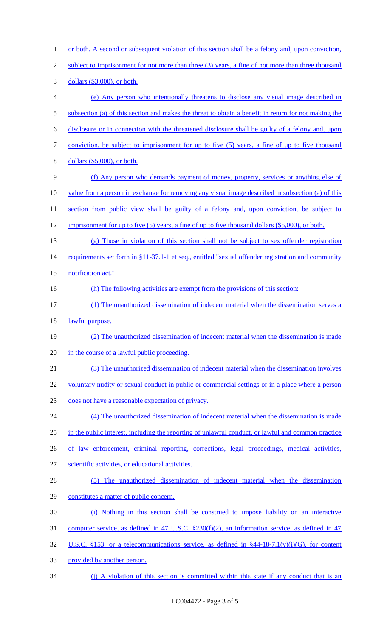1 or both. A second or subsequent violation of this section shall be a felony and, upon conviction, 2 subject to imprisonment for not more than three (3) years, a fine of not more than three thousand 3 dollars (\$3,000), or both. 4 (e) Any person who intentionally threatens to disclose any visual image described in 5 subsection (a) of this section and makes the threat to obtain a benefit in return for not making the 6 disclosure or in connection with the threatened disclosure shall be guilty of a felony and, upon 7 conviction, be subject to imprisonment for up to five (5) years, a fine of up to five thousand 8 dollars (\$5,000), or both. 9 (f) Any person who demands payment of money, property, services or anything else of 10 value from a person in exchange for removing any visual image described in subsection (a) of this 11 section from public view shall be guilty of a felony and, upon conviction, be subject to 12 imprisonment for up to five (5) years, a fine of up to five thousand dollars (\$5,000), or both. 13 (g) Those in violation of this section shall not be subject to sex offender registration 14 requirements set forth in §11-37.1-1 et seq., entitled "sexual offender registration and community 15 notification act." 16 (h) The following activities are exempt from the provisions of this section: 17 (1) The unauthorized dissemination of indecent material when the dissemination serves a 18 lawful purpose. 19 (2) The unauthorized dissemination of indecent material when the dissemination is made 20 in the course of a lawful public proceeding. 21 (3) The unauthorized dissemination of indecent material when the dissemination involves 22 voluntary nudity or sexual conduct in public or commercial settings or in a place where a person 23 does not have a reasonable expectation of privacy. 24 (4) The unauthorized dissemination of indecent material when the dissemination is made 25 in the public interest, including the reporting of unlawful conduct, or lawful and common practice 26 of law enforcement, criminal reporting, corrections, legal proceedings, medical activities, 27 scientific activities, or educational activities. 28 (5) The unauthorized dissemination of indecent material when the dissemination 29 constitutes a matter of public concern. 30 (i) Nothing in this section shall be construed to impose liability on an interactive 31 computer service, as defined in 47 U.S.C. §230(f)(2), an information service, as defined in 47 32 U.S.C. §153, or a telecommunications service, as defined in §44-18-7.1(y)(i)(G), for content 33 provided by another person. 34 (j) A violation of this section is committed within this state if any conduct that is an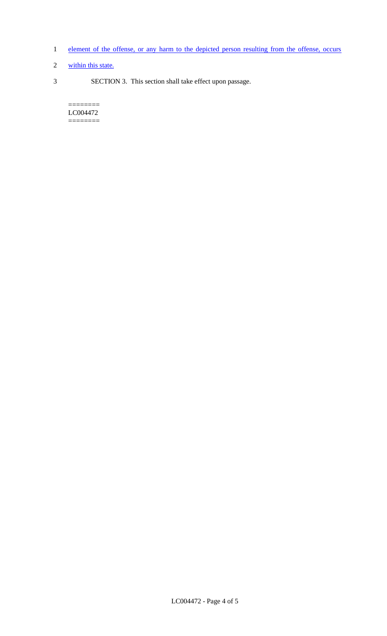- 1 element of the offense, or any harm to the depicted person resulting from the offense, occurs
- 2 within this state.
- 3 SECTION 3. This section shall take effect upon passage.

 $=$ LC004472 ========